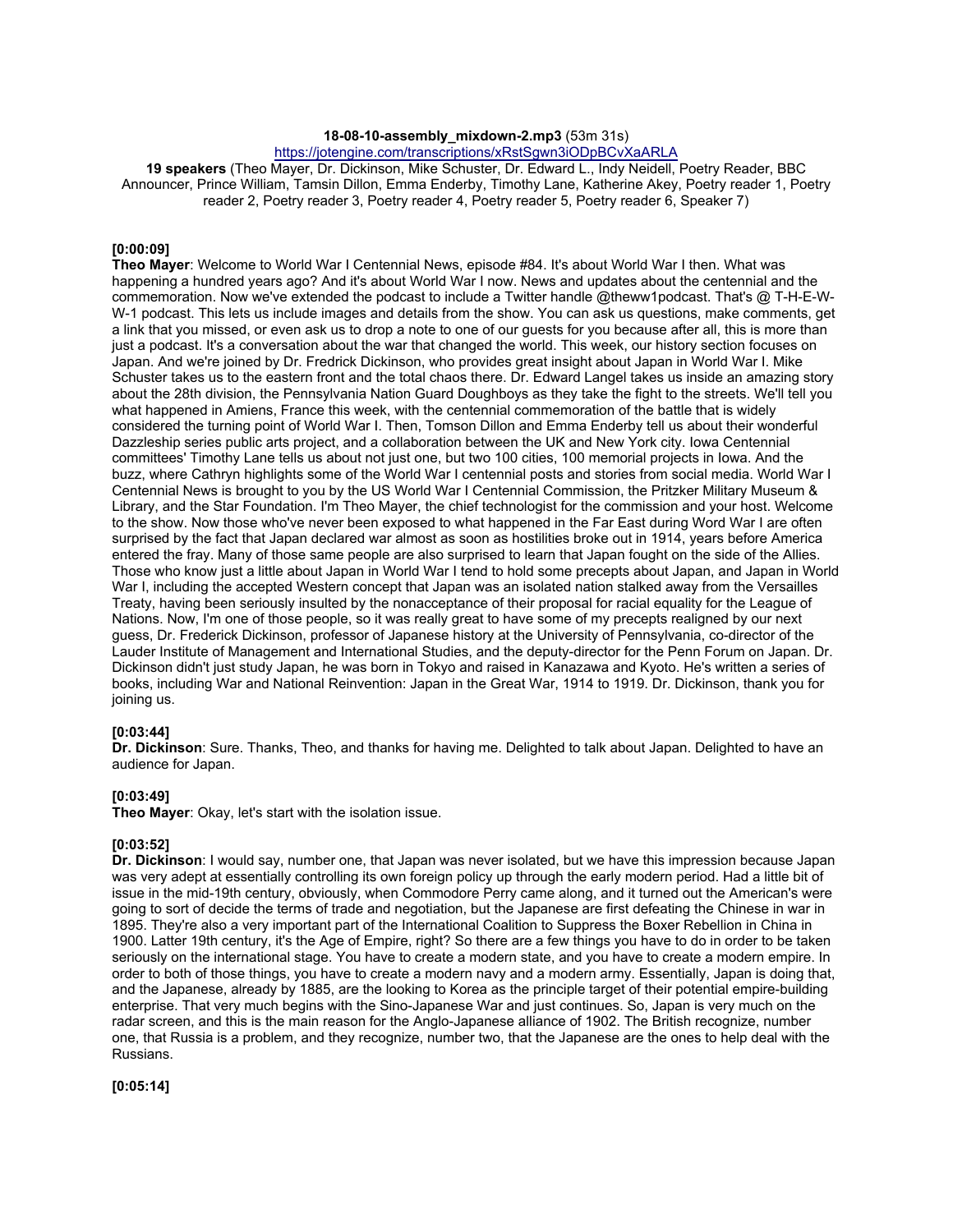#### **18-08-10-assembly\_mixdown-2.mp3** (53m 31s)

https://jotengine.com/transcriptions/xRstSgwn3iODpBCvXaARLA

**19 speakers** (Theo Mayer, Dr. Dickinson, Mike Schuster, Dr. Edward L., Indy Neidell, Poetry Reader, BBC Announcer, Prince William, Tamsin Dillon, Emma Enderby, Timothy Lane, Katherine Akey, Poetry reader 1, Poetry reader 2, Poetry reader 3, Poetry reader 4, Poetry reader 5, Poetry reader 6, Speaker 7)

# **[0:00:09]**

**Theo Mayer**: Welcome to World War I Centennial News, episode #84. It's about World War I then. What was happening a hundred years ago? And it's about World War I now. News and updates about the centennial and the commemoration. Now we've extended the podcast to include a Twitter handle @theww1podcast. That's @ T-H-E-W-W-1 podcast. This lets us include images and details from the show. You can ask us questions, make comments, get a link that you missed, or even ask us to drop a note to one of our guests for you because after all, this is more than just a podcast. It's a conversation about the war that changed the world. This week, our history section focuses on Japan. And we're joined by Dr. Fredrick Dickinson, who provides great insight about Japan in World War I. Mike Schuster takes us to the eastern front and the total chaos there. Dr. Edward Langel takes us inside an amazing story about the 28th division, the Pennsylvania Nation Guard Doughboys as they take the fight to the streets. We'll tell you what happened in Amiens, France this week, with the centennial commemoration of the battle that is widely considered the turning point of World War I. Then, Tomson Dillon and Emma Enderby tell us about their wonderful Dazzleship series public arts project, and a collaboration between the UK and New York city. Iowa Centennial committees' Timothy Lane tells us about not just one, but two 100 cities, 100 memorial projects in Iowa. And the buzz, where Cathryn highlights some of the World War I centennial posts and stories from social media. World War I Centennial News is brought to you by the US World War I Centennial Commission, the Pritzker Military Museum & Library, and the Star Foundation. I'm Theo Mayer, the chief technologist for the commission and your host. Welcome to the show. Now those who've never been exposed to what happened in the Far East during Word War I are often surprised by the fact that Japan declared war almost as soon as hostilities broke out in 1914, years before America entered the fray. Many of those same people are also surprised to learn that Japan fought on the side of the Allies. Those who know just a little about Japan in World War I tend to hold some precepts about Japan, and Japan in World War I, including the accepted Western concept that Japan was an isolated nation stalked away from the Versailles Treaty, having been seriously insulted by the nonacceptance of their proposal for racial equality for the League of Nations. Now, I'm one of those people, so it was really great to have some of my precepts realigned by our next guess, Dr. Frederick Dickinson, professor of Japanese history at the University of Pennsylvania, co-director of the Lauder Institute of Management and International Studies, and the deputy-director for the Penn Forum on Japan. Dr. Dickinson didn't just study Japan, he was born in Tokyo and raised in Kanazawa and Kyoto. He's written a series of books, including War and National Reinvention: Japan in the Great War, 1914 to 1919. Dr. Dickinson, thank you for joining us.

# **[0:03:44]**

**Dr. Dickinson**: Sure. Thanks, Theo, and thanks for having me. Delighted to talk about Japan. Delighted to have an audience for Japan.

#### **[0:03:49]**

**Theo Mayer**: Okay, let's start with the isolation issue.

#### **[0:03:52]**

**Dr. Dickinson**: I would say, number one, that Japan was never isolated, but we have this impression because Japan was very adept at essentially controlling its own foreign policy up through the early modern period. Had a little bit of issue in the mid-19th century, obviously, when Commodore Perry came along, and it turned out the American's were going to sort of decide the terms of trade and negotiation, but the Japanese are first defeating the Chinese in war in 1895. They're also a very important part of the International Coalition to Suppress the Boxer Rebellion in China in 1900. Latter 19th century, it's the Age of Empire, right? So there are a few things you have to do in order to be taken seriously on the international stage. You have to create a modern state, and you have to create a modern empire. In order to both of those things, you have to create a modern navy and a modern army. Essentially, Japan is doing that, and the Japanese, already by 1885, are the looking to Korea as the principle target of their potential empire-building enterprise. That very much begins with the Sino-Japanese War and just continues. So, Japan is very much on the radar screen, and this is the main reason for the Anglo-Japanese alliance of 1902. The British recognize, number one, that Russia is a problem, and they recognize, number two, that the Japanese are the ones to help deal with the Russians.

**[0:05:14]**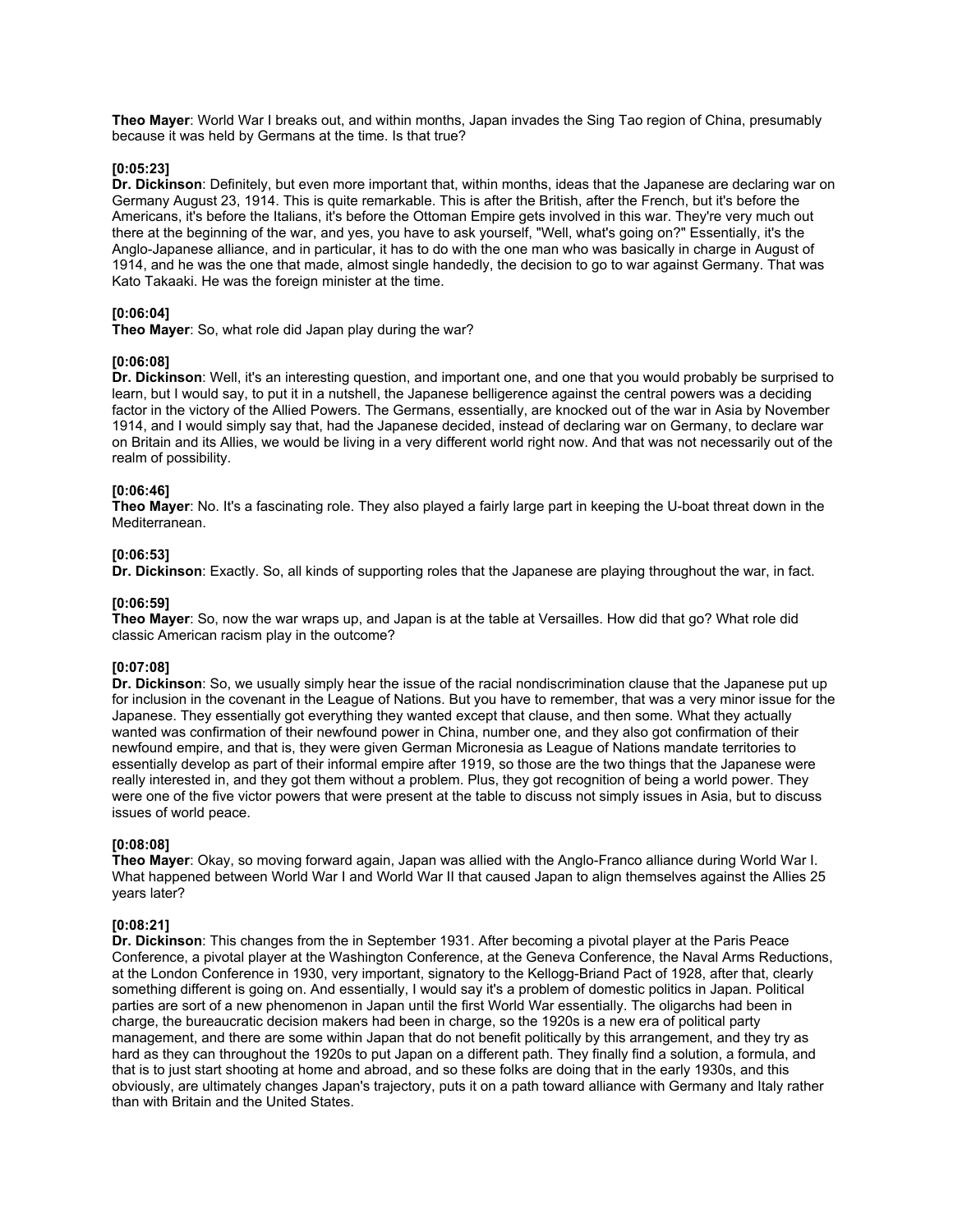**Theo Mayer**: World War I breaks out, and within months, Japan invades the Sing Tao region of China, presumably because it was held by Germans at the time. Is that true?

# **[0:05:23]**

**Dr. Dickinson**: Definitely, but even more important that, within months, ideas that the Japanese are declaring war on Germany August 23, 1914. This is quite remarkable. This is after the British, after the French, but it's before the Americans, it's before the Italians, it's before the Ottoman Empire gets involved in this war. They're very much out there at the beginning of the war, and yes, you have to ask yourself, "Well, what's going on?" Essentially, it's the Anglo-Japanese alliance, and in particular, it has to do with the one man who was basically in charge in August of 1914, and he was the one that made, almost single handedly, the decision to go to war against Germany. That was Kato Takaaki. He was the foreign minister at the time.

# **[0:06:04]**

**Theo Mayer**: So, what role did Japan play during the war?

# **[0:06:08]**

**Dr. Dickinson**: Well, it's an interesting question, and important one, and one that you would probably be surprised to learn, but I would say, to put it in a nutshell, the Japanese belligerence against the central powers was a deciding factor in the victory of the Allied Powers. The Germans, essentially, are knocked out of the war in Asia by November 1914, and I would simply say that, had the Japanese decided, instead of declaring war on Germany, to declare war on Britain and its Allies, we would be living in a very different world right now. And that was not necessarily out of the realm of possibility.

# **[0:06:46]**

**Theo Mayer**: No. It's a fascinating role. They also played a fairly large part in keeping the U-boat threat down in the Mediterranean.

# **[0:06:53]**

**Dr. Dickinson**: Exactly. So, all kinds of supporting roles that the Japanese are playing throughout the war, in fact.

# **[0:06:59]**

**Theo Mayer**: So, now the war wraps up, and Japan is at the table at Versailles. How did that go? What role did classic American racism play in the outcome?

# **[0:07:08]**

**Dr. Dickinson**: So, we usually simply hear the issue of the racial nondiscrimination clause that the Japanese put up for inclusion in the covenant in the League of Nations. But you have to remember, that was a very minor issue for the Japanese. They essentially got everything they wanted except that clause, and then some. What they actually wanted was confirmation of their newfound power in China, number one, and they also got confirmation of their newfound empire, and that is, they were given German Micronesia as League of Nations mandate territories to essentially develop as part of their informal empire after 1919, so those are the two things that the Japanese were really interested in, and they got them without a problem. Plus, they got recognition of being a world power. They were one of the five victor powers that were present at the table to discuss not simply issues in Asia, but to discuss issues of world peace.

#### **[0:08:08]**

**Theo Mayer**: Okay, so moving forward again, Japan was allied with the Anglo-Franco alliance during World War I. What happened between World War I and World War II that caused Japan to align themselves against the Allies 25 years later?

# **[0:08:21]**

**Dr. Dickinson**: This changes from the in September 1931. After becoming a pivotal player at the Paris Peace Conference, a pivotal player at the Washington Conference, at the Geneva Conference, the Naval Arms Reductions, at the London Conference in 1930, very important, signatory to the Kellogg-Briand Pact of 1928, after that, clearly something different is going on. And essentially, I would say it's a problem of domestic politics in Japan. Political parties are sort of a new phenomenon in Japan until the first World War essentially. The oligarchs had been in charge, the bureaucratic decision makers had been in charge, so the 1920s is a new era of political party management, and there are some within Japan that do not benefit politically by this arrangement, and they try as hard as they can throughout the 1920s to put Japan on a different path. They finally find a solution, a formula, and that is to just start shooting at home and abroad, and so these folks are doing that in the early 1930s, and this obviously, are ultimately changes Japan's trajectory, puts it on a path toward alliance with Germany and Italy rather than with Britain and the United States.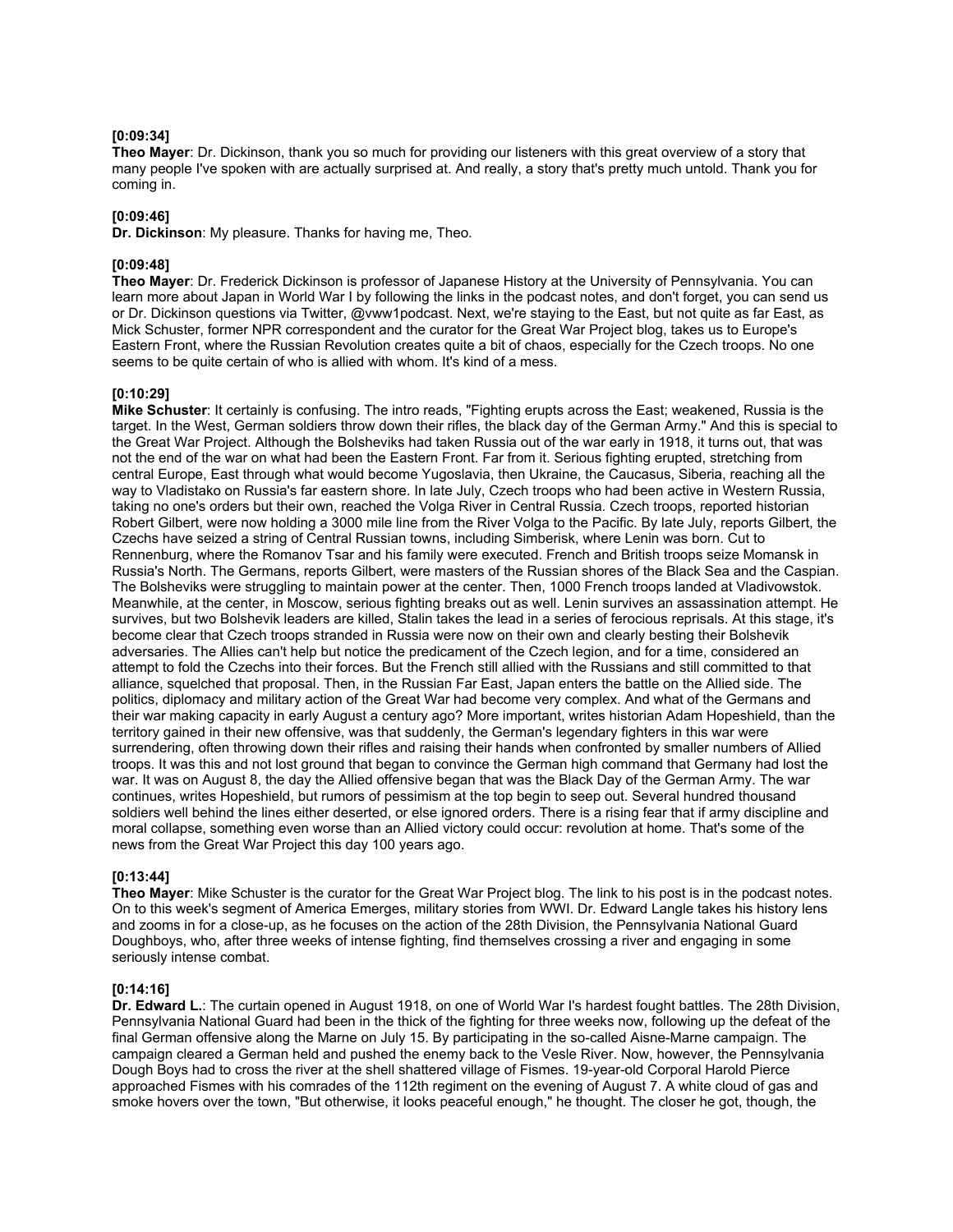# **[0:09:34]**

**Theo Mayer**: Dr. Dickinson, thank you so much for providing our listeners with this great overview of a story that many people I've spoken with are actually surprised at. And really, a story that's pretty much untold. Thank you for coming in.

# **[0:09:46]**

**Dr. Dickinson**: My pleasure. Thanks for having me, Theo.

# **[0:09:48]**

**Theo Mayer**: Dr. Frederick Dickinson is professor of Japanese History at the University of Pennsylvania. You can learn more about Japan in World War I by following the links in the podcast notes, and don't forget, you can send us or Dr. Dickinson questions via Twitter, @vww1podcast. Next, we're staying to the East, but not quite as far East, as Mick Schuster, former NPR correspondent and the curator for the Great War Project blog, takes us to Europe's Eastern Front, where the Russian Revolution creates quite a bit of chaos, especially for the Czech troops. No one seems to be quite certain of who is allied with whom. It's kind of a mess.

# **[0:10:29]**

**Mike Schuster**: It certainly is confusing. The intro reads, "Fighting erupts across the East; weakened, Russia is the target. In the West, German soldiers throw down their rifles, the black day of the German Army." And this is special to the Great War Project. Although the Bolsheviks had taken Russia out of the war early in 1918, it turns out, that was not the end of the war on what had been the Eastern Front. Far from it. Serious fighting erupted, stretching from central Europe, East through what would become Yugoslavia, then Ukraine, the Caucasus, Siberia, reaching all the way to Vladistako on Russia's far eastern shore. In late July, Czech troops who had been active in Western Russia, taking no one's orders but their own, reached the Volga River in Central Russia. Czech troops, reported historian Robert Gilbert, were now holding a 3000 mile line from the River Volga to the Pacific. By late July, reports Gilbert, the Czechs have seized a string of Central Russian towns, including Simberisk, where Lenin was born. Cut to Rennenburg, where the Romanov Tsar and his family were executed. French and British troops seize Momansk in Russia's North. The Germans, reports Gilbert, were masters of the Russian shores of the Black Sea and the Caspian. The Bolsheviks were struggling to maintain power at the center. Then, 1000 French troops landed at Vladivowstok. Meanwhile, at the center, in Moscow, serious fighting breaks out as well. Lenin survives an assassination attempt. He survives, but two Bolshevik leaders are killed, Stalin takes the lead in a series of ferocious reprisals. At this stage, it's become clear that Czech troops stranded in Russia were now on their own and clearly besting their Bolshevik adversaries. The Allies can't help but notice the predicament of the Czech legion, and for a time, considered an attempt to fold the Czechs into their forces. But the French still allied with the Russians and still committed to that alliance, squelched that proposal. Then, in the Russian Far East, Japan enters the battle on the Allied side. The politics, diplomacy and military action of the Great War had become very complex. And what of the Germans and their war making capacity in early August a century ago? More important, writes historian Adam Hopeshield, than the territory gained in their new offensive, was that suddenly, the German's legendary fighters in this war were surrendering, often throwing down their rifles and raising their hands when confronted by smaller numbers of Allied troops. It was this and not lost ground that began to convince the German high command that Germany had lost the war. It was on August 8, the day the Allied offensive began that was the Black Day of the German Army. The war continues, writes Hopeshield, but rumors of pessimism at the top begin to seep out. Several hundred thousand soldiers well behind the lines either deserted, or else ignored orders. There is a rising fear that if army discipline and moral collapse, something even worse than an Allied victory could occur: revolution at home. That's some of the news from the Great War Project this day 100 years ago.

# **[0:13:44]**

**Theo Mayer**: Mike Schuster is the curator for the Great War Project blog. The link to his post is in the podcast notes. On to this week's segment of America Emerges, military stories from WWI. Dr. Edward Langle takes his history lens and zooms in for a close-up, as he focuses on the action of the 28th Division, the Pennsylvania National Guard Doughboys, who, after three weeks of intense fighting, find themselves crossing a river and engaging in some seriously intense combat.

# **[0:14:16]**

**Dr. Edward L.**: The curtain opened in August 1918, on one of World War I's hardest fought battles. The 28th Division, Pennsylvania National Guard had been in the thick of the fighting for three weeks now, following up the defeat of the final German offensive along the Marne on July 15. By participating in the so-called Aisne-Marne campaign. The campaign cleared a German held and pushed the enemy back to the Vesle River. Now, however, the Pennsylvania Dough Boys had to cross the river at the shell shattered village of Fismes. 19-year-old Corporal Harold Pierce approached Fismes with his comrades of the 112th regiment on the evening of August 7. A white cloud of gas and smoke hovers over the town, "But otherwise, it looks peaceful enough," he thought. The closer he got, though, the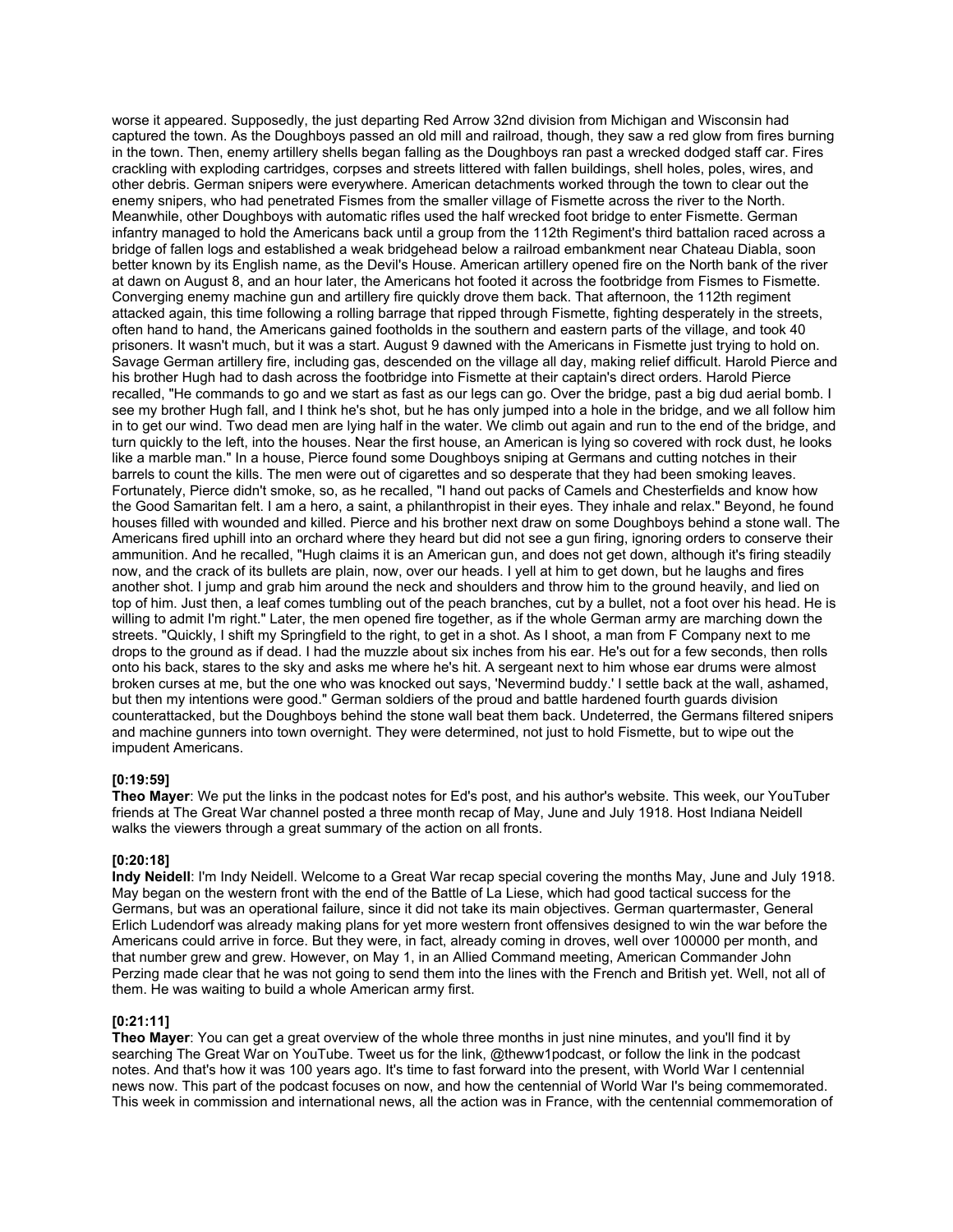worse it appeared. Supposedly, the just departing Red Arrow 32nd division from Michigan and Wisconsin had captured the town. As the Doughboys passed an old mill and railroad, though, they saw a red glow from fires burning in the town. Then, enemy artillery shells began falling as the Doughboys ran past a wrecked dodged staff car. Fires crackling with exploding cartridges, corpses and streets littered with fallen buildings, shell holes, poles, wires, and other debris. German snipers were everywhere. American detachments worked through the town to clear out the enemy snipers, who had penetrated Fismes from the smaller village of Fismette across the river to the North. Meanwhile, other Doughboys with automatic rifles used the half wrecked foot bridge to enter Fismette. German infantry managed to hold the Americans back until a group from the 112th Regiment's third battalion raced across a bridge of fallen logs and established a weak bridgehead below a railroad embankment near Chateau Diabla, soon better known by its English name, as the Devil's House. American artillery opened fire on the North bank of the river at dawn on August 8, and an hour later, the Americans hot footed it across the footbridge from Fismes to Fismette. Converging enemy machine gun and artillery fire quickly drove them back. That afternoon, the 112th regiment attacked again, this time following a rolling barrage that ripped through Fismette, fighting desperately in the streets, often hand to hand, the Americans gained footholds in the southern and eastern parts of the village, and took 40 prisoners. It wasn't much, but it was a start. August 9 dawned with the Americans in Fismette just trying to hold on. Savage German artillery fire, including gas, descended on the village all day, making relief difficult. Harold Pierce and his brother Hugh had to dash across the footbridge into Fismette at their captain's direct orders. Harold Pierce recalled, "He commands to go and we start as fast as our legs can go. Over the bridge, past a big dud aerial bomb. I see my brother Hugh fall, and I think he's shot, but he has only jumped into a hole in the bridge, and we all follow him in to get our wind. Two dead men are lying half in the water. We climb out again and run to the end of the bridge, and turn quickly to the left, into the houses. Near the first house, an American is lying so covered with rock dust, he looks like a marble man." In a house, Pierce found some Doughboys sniping at Germans and cutting notches in their barrels to count the kills. The men were out of cigarettes and so desperate that they had been smoking leaves. Fortunately, Pierce didn't smoke, so, as he recalled, "I hand out packs of Camels and Chesterfields and know how the Good Samaritan felt. I am a hero, a saint, a philanthropist in their eyes. They inhale and relax." Beyond, he found houses filled with wounded and killed. Pierce and his brother next draw on some Doughboys behind a stone wall. The Americans fired uphill into an orchard where they heard but did not see a gun firing, ignoring orders to conserve their ammunition. And he recalled, "Hugh claims it is an American gun, and does not get down, although it's firing steadily now, and the crack of its bullets are plain, now, over our heads. I yell at him to get down, but he laughs and fires another shot. I jump and grab him around the neck and shoulders and throw him to the ground heavily, and lied on top of him. Just then, a leaf comes tumbling out of the peach branches, cut by a bullet, not a foot over his head. He is willing to admit I'm right." Later, the men opened fire together, as if the whole German army are marching down the streets. "Quickly, I shift my Springfield to the right, to get in a shot. As I shoot, a man from F Company next to me drops to the ground as if dead. I had the muzzle about six inches from his ear. He's out for a few seconds, then rolls onto his back, stares to the sky and asks me where he's hit. A sergeant next to him whose ear drums were almost broken curses at me, but the one who was knocked out says, 'Nevermind buddy.' I settle back at the wall, ashamed, but then my intentions were good." German soldiers of the proud and battle hardened fourth guards division counterattacked, but the Doughboys behind the stone wall beat them back. Undeterred, the Germans filtered snipers and machine gunners into town overnight. They were determined, not just to hold Fismette, but to wipe out the impudent Americans.

# **[0:19:59]**

**Theo Mayer**: We put the links in the podcast notes for Ed's post, and his author's website. This week, our YouTuber friends at The Great War channel posted a three month recap of May, June and July 1918. Host Indiana Neidell walks the viewers through a great summary of the action on all fronts.

# **[0:20:18]**

**Indy Neidell**: I'm Indy Neidell. Welcome to a Great War recap special covering the months May, June and July 1918. May began on the western front with the end of the Battle of La Liese, which had good tactical success for the Germans, but was an operational failure, since it did not take its main objectives. German quartermaster, General Erlich Ludendorf was already making plans for yet more western front offensives designed to win the war before the Americans could arrive in force. But they were, in fact, already coming in droves, well over 100000 per month, and that number grew and grew. However, on May 1, in an Allied Command meeting, American Commander John Perzing made clear that he was not going to send them into the lines with the French and British yet. Well, not all of them. He was waiting to build a whole American army first.

# **[0:21:11]**

**Theo Mayer**: You can get a great overview of the whole three months in just nine minutes, and you'll find it by searching The Great War on YouTube. Tweet us for the link, @theww1podcast, or follow the link in the podcast notes. And that's how it was 100 years ago. It's time to fast forward into the present, with World War I centennial news now. This part of the podcast focuses on now, and how the centennial of World War I's being commemorated. This week in commission and international news, all the action was in France, with the centennial commemoration of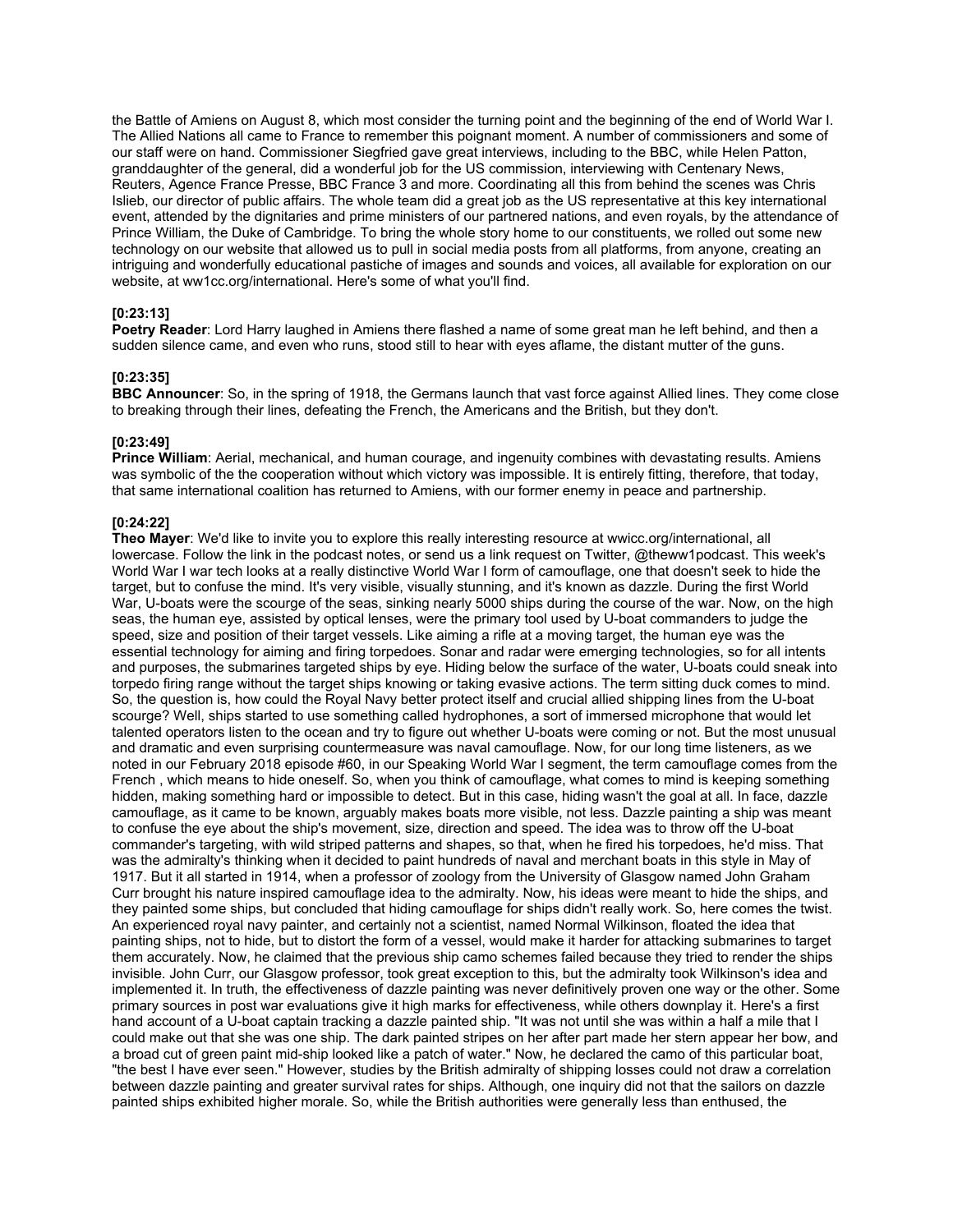the Battle of Amiens on August 8, which most consider the turning point and the beginning of the end of World War I. The Allied Nations all came to France to remember this poignant moment. A number of commissioners and some of our staff were on hand. Commissioner Siegfried gave great interviews, including to the BBC, while Helen Patton, granddaughter of the general, did a wonderful job for the US commission, interviewing with Centenary News, Reuters, Agence France Presse, BBC France 3 and more. Coordinating all this from behind the scenes was Chris Islieb, our director of public affairs. The whole team did a great job as the US representative at this key international event, attended by the dignitaries and prime ministers of our partnered nations, and even royals, by the attendance of Prince William, the Duke of Cambridge. To bring the whole story home to our constituents, we rolled out some new technology on our website that allowed us to pull in social media posts from all platforms, from anyone, creating an intriguing and wonderfully educational pastiche of images and sounds and voices, all available for exploration on our website, at ww1cc.org/international. Here's some of what you'll find.

# **[0:23:13]**

**Poetry Reader**: Lord Harry laughed in Amiens there flashed a name of some great man he left behind, and then a sudden silence came, and even who runs, stood still to hear with eyes aflame, the distant mutter of the guns.

# **[0:23:35]**

**BBC Announcer**: So, in the spring of 1918, the Germans launch that vast force against Allied lines. They come close to breaking through their lines, defeating the French, the Americans and the British, but they don't.

# **[0:23:49]**

**Prince William**: Aerial, mechanical, and human courage, and ingenuity combines with devastating results. Amiens was symbolic of the the cooperation without which victory was impossible. It is entirely fitting, therefore, that today, that same international coalition has returned to Amiens, with our former enemy in peace and partnership.

#### **[0:24:22]**

**Theo Mayer**: We'd like to invite you to explore this really interesting resource at wwicc.org/international, all lowercase. Follow the link in the podcast notes, or send us a link request on Twitter, @theww1podcast. This week's World War I war tech looks at a really distinctive World War I form of camouflage, one that doesn't seek to hide the target, but to confuse the mind. It's very visible, visually stunning, and it's known as dazzle. During the first World War, U-boats were the scourge of the seas, sinking nearly 5000 ships during the course of the war. Now, on the high seas, the human eye, assisted by optical lenses, were the primary tool used by U-boat commanders to judge the speed, size and position of their target vessels. Like aiming a rifle at a moving target, the human eye was the essential technology for aiming and firing torpedoes. Sonar and radar were emerging technologies, so for all intents and purposes, the submarines targeted ships by eye. Hiding below the surface of the water, U-boats could sneak into torpedo firing range without the target ships knowing or taking evasive actions. The term sitting duck comes to mind. So, the question is, how could the Royal Navy better protect itself and crucial allied shipping lines from the U-boat scourge? Well, ships started to use something called hydrophones, a sort of immersed microphone that would let talented operators listen to the ocean and try to figure out whether U-boats were coming or not. But the most unusual and dramatic and even surprising countermeasure was naval camouflage. Now, for our long time listeners, as we noted in our February 2018 episode #60, in our Speaking World War I segment, the term camouflage comes from the French , which means to hide oneself. So, when you think of camouflage, what comes to mind is keeping something hidden, making something hard or impossible to detect. But in this case, hiding wasn't the goal at all. In face, dazzle camouflage, as it came to be known, arguably makes boats more visible, not less. Dazzle painting a ship was meant to confuse the eye about the ship's movement, size, direction and speed. The idea was to throw off the U-boat commander's targeting, with wild striped patterns and shapes, so that, when he fired his torpedoes, he'd miss. That was the admiralty's thinking when it decided to paint hundreds of naval and merchant boats in this style in May of 1917. But it all started in 1914, when a professor of zoology from the University of Glasgow named John Graham Curr brought his nature inspired camouflage idea to the admiralty. Now, his ideas were meant to hide the ships, and they painted some ships, but concluded that hiding camouflage for ships didn't really work. So, here comes the twist. An experienced royal navy painter, and certainly not a scientist, named Normal Wilkinson, floated the idea that painting ships, not to hide, but to distort the form of a vessel, would make it harder for attacking submarines to target them accurately. Now, he claimed that the previous ship camo schemes failed because they tried to render the ships invisible. John Curr, our Glasgow professor, took great exception to this, but the admiralty took Wilkinson's idea and implemented it. In truth, the effectiveness of dazzle painting was never definitively proven one way or the other. Some primary sources in post war evaluations give it high marks for effectiveness, while others downplay it. Here's a first hand account of a U-boat captain tracking a dazzle painted ship. "It was not until she was within a half a mile that I could make out that she was one ship. The dark painted stripes on her after part made her stern appear her bow, and a broad cut of green paint mid-ship looked like a patch of water." Now, he declared the camo of this particular boat, "the best I have ever seen." However, studies by the British admiralty of shipping losses could not draw a correlation between dazzle painting and greater survival rates for ships. Although, one inquiry did not that the sailors on dazzle painted ships exhibited higher morale. So, while the British authorities were generally less than enthused, the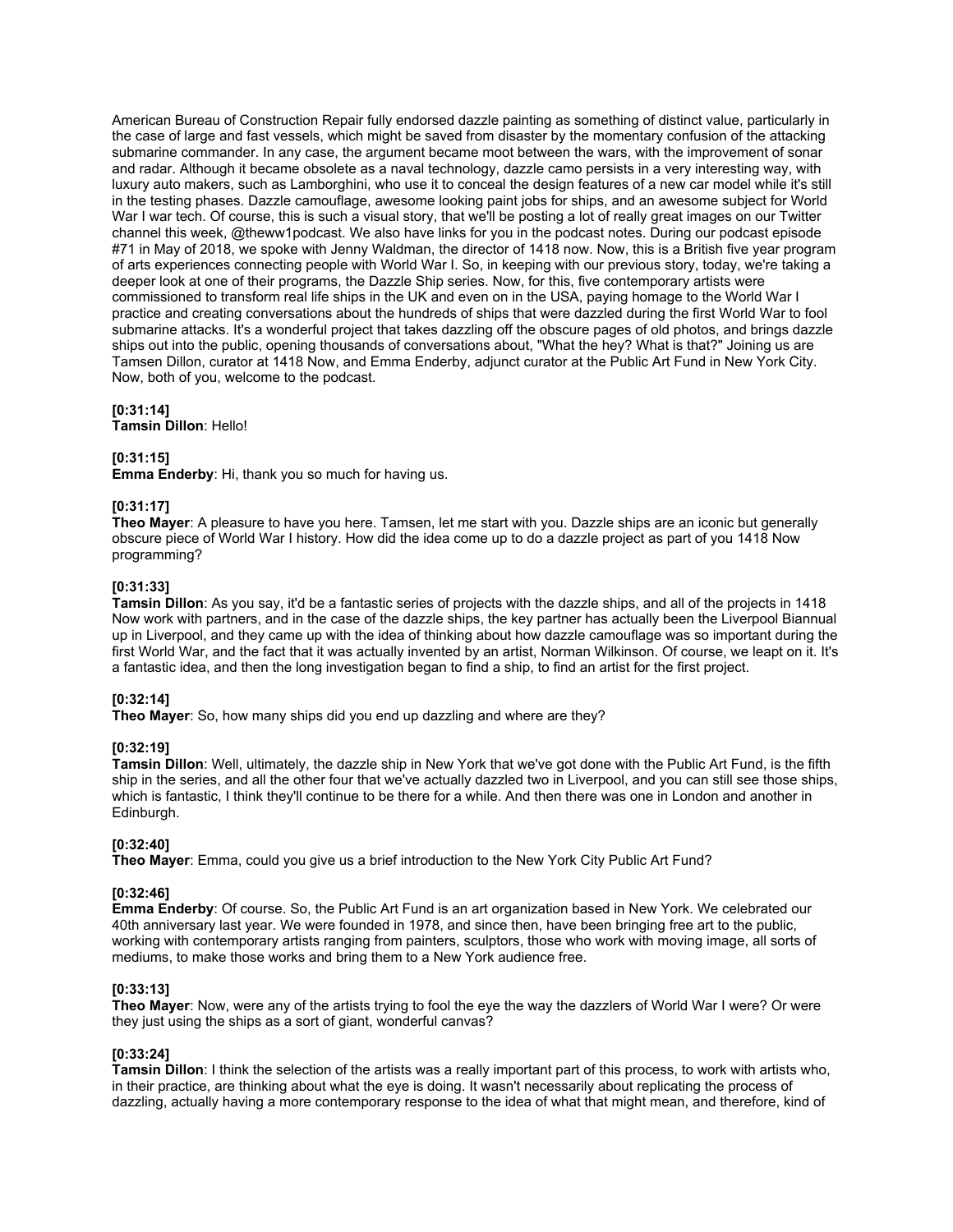American Bureau of Construction Repair fully endorsed dazzle painting as something of distinct value, particularly in the case of large and fast vessels, which might be saved from disaster by the momentary confusion of the attacking submarine commander. In any case, the argument became moot between the wars, with the improvement of sonar and radar. Although it became obsolete as a naval technology, dazzle camo persists in a very interesting way, with luxury auto makers, such as Lamborghini, who use it to conceal the design features of a new car model while it's still in the testing phases. Dazzle camouflage, awesome looking paint jobs for ships, and an awesome subject for World War I war tech. Of course, this is such a visual story, that we'll be posting a lot of really great images on our Twitter channel this week, @theww1podcast. We also have links for you in the podcast notes. During our podcast episode #71 in May of 2018, we spoke with Jenny Waldman, the director of 1418 now. Now, this is a British five year program of arts experiences connecting people with World War I. So, in keeping with our previous story, today, we're taking a deeper look at one of their programs, the Dazzle Ship series. Now, for this, five contemporary artists were commissioned to transform real life ships in the UK and even on in the USA, paying homage to the World War I practice and creating conversations about the hundreds of ships that were dazzled during the first World War to fool submarine attacks. It's a wonderful project that takes dazzling off the obscure pages of old photos, and brings dazzle ships out into the public, opening thousands of conversations about, "What the hey? What is that?" Joining us are Tamsen Dillon, curator at 1418 Now, and Emma Enderby, adjunct curator at the Public Art Fund in New York City. Now, both of you, welcome to the podcast.

# **[0:31:14]**

**Tamsin Dillon**: Hello!

# **[0:31:15]**

**Emma Enderby**: Hi, thank you so much for having us.

#### **[0:31:17]**

**Theo Mayer**: A pleasure to have you here. Tamsen, let me start with you. Dazzle ships are an iconic but generally obscure piece of World War I history. How did the idea come up to do a dazzle project as part of you 1418 Now programming?

#### **[0:31:33]**

**Tamsin Dillon**: As you say, it'd be a fantastic series of projects with the dazzle ships, and all of the projects in 1418 Now work with partners, and in the case of the dazzle ships, the key partner has actually been the Liverpool Biannual up in Liverpool, and they came up with the idea of thinking about how dazzle camouflage was so important during the first World War, and the fact that it was actually invented by an artist, Norman Wilkinson. Of course, we leapt on it. It's a fantastic idea, and then the long investigation began to find a ship, to find an artist for the first project.

# **[0:32:14]**

**Theo Mayer**: So, how many ships did you end up dazzling and where are they?

# **[0:32:19]**

**Tamsin Dillon**: Well, ultimately, the dazzle ship in New York that we've got done with the Public Art Fund, is the fifth ship in the series, and all the other four that we've actually dazzled two in Liverpool, and you can still see those ships, which is fantastic, I think they'll continue to be there for a while. And then there was one in London and another in Edinburgh.

# **[0:32:40]**

**Theo Mayer**: Emma, could you give us a brief introduction to the New York City Public Art Fund?

#### **[0:32:46]**

**Emma Enderby**: Of course. So, the Public Art Fund is an art organization based in New York. We celebrated our 40th anniversary last year. We were founded in 1978, and since then, have been bringing free art to the public, working with contemporary artists ranging from painters, sculptors, those who work with moving image, all sorts of mediums, to make those works and bring them to a New York audience free.

#### **[0:33:13]**

**Theo Mayer**: Now, were any of the artists trying to fool the eye the way the dazzlers of World War I were? Or were they just using the ships as a sort of giant, wonderful canvas?

# **[0:33:24]**

**Tamsin Dillon**: I think the selection of the artists was a really important part of this process, to work with artists who, in their practice, are thinking about what the eye is doing. It wasn't necessarily about replicating the process of dazzling, actually having a more contemporary response to the idea of what that might mean, and therefore, kind of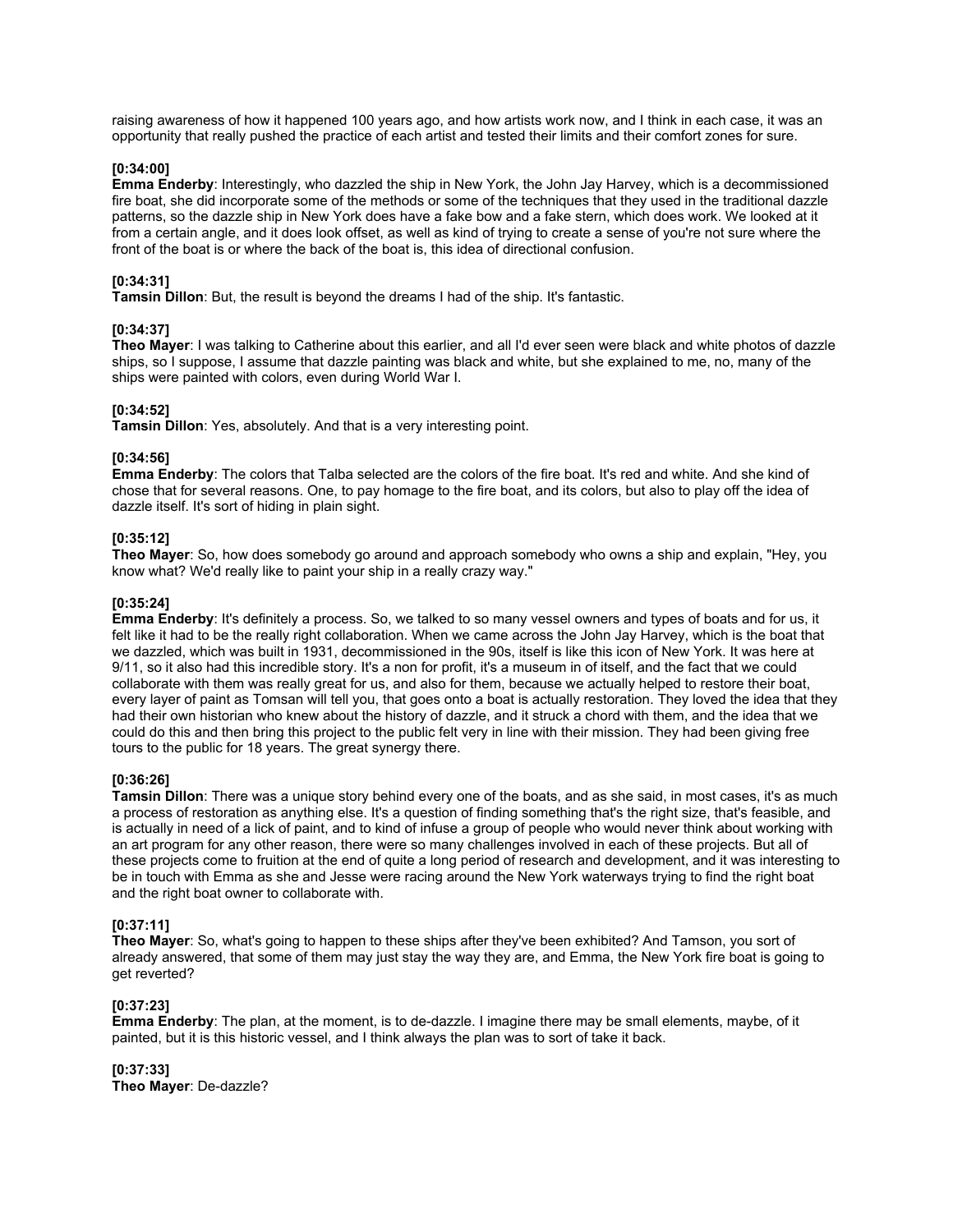raising awareness of how it happened 100 years ago, and how artists work now, and I think in each case, it was an opportunity that really pushed the practice of each artist and tested their limits and their comfort zones for sure.

# **[0:34:00]**

**Emma Enderby**: Interestingly, who dazzled the ship in New York, the John Jay Harvey, which is a decommissioned fire boat, she did incorporate some of the methods or some of the techniques that they used in the traditional dazzle patterns, so the dazzle ship in New York does have a fake bow and a fake stern, which does work. We looked at it from a certain angle, and it does look offset, as well as kind of trying to create a sense of you're not sure where the front of the boat is or where the back of the boat is, this idea of directional confusion.

# **[0:34:31]**

**Tamsin Dillon**: But, the result is beyond the dreams I had of the ship. It's fantastic.

# **[0:34:37]**

**Theo Mayer**: I was talking to Catherine about this earlier, and all I'd ever seen were black and white photos of dazzle ships, so I suppose, I assume that dazzle painting was black and white, but she explained to me, no, many of the ships were painted with colors, even during World War I.

### **[0:34:52]**

**Tamsin Dillon**: Yes, absolutely. And that is a very interesting point.

# **[0:34:56]**

**Emma Enderby**: The colors that Talba selected are the colors of the fire boat. It's red and white. And she kind of chose that for several reasons. One, to pay homage to the fire boat, and its colors, but also to play off the idea of dazzle itself. It's sort of hiding in plain sight.

# **[0:35:12]**

**Theo Mayer**: So, how does somebody go around and approach somebody who owns a ship and explain, "Hey, you know what? We'd really like to paint your ship in a really crazy way."

# **[0:35:24]**

**Emma Enderby**: It's definitely a process. So, we talked to so many vessel owners and types of boats and for us, it felt like it had to be the really right collaboration. When we came across the John Jay Harvey, which is the boat that we dazzled, which was built in 1931, decommissioned in the 90s, itself is like this icon of New York. It was here at 9/11, so it also had this incredible story. It's a non for profit, it's a museum in of itself, and the fact that we could collaborate with them was really great for us, and also for them, because we actually helped to restore their boat, every layer of paint as Tomsan will tell you, that goes onto a boat is actually restoration. They loved the idea that they had their own historian who knew about the history of dazzle, and it struck a chord with them, and the idea that we could do this and then bring this project to the public felt very in line with their mission. They had been giving free tours to the public for 18 years. The great synergy there.

# **[0:36:26]**

**Tamsin Dillon**: There was a unique story behind every one of the boats, and as she said, in most cases, it's as much a process of restoration as anything else. It's a question of finding something that's the right size, that's feasible, and is actually in need of a lick of paint, and to kind of infuse a group of people who would never think about working with an art program for any other reason, there were so many challenges involved in each of these projects. But all of these projects come to fruition at the end of quite a long period of research and development, and it was interesting to be in touch with Emma as she and Jesse were racing around the New York waterways trying to find the right boat and the right boat owner to collaborate with.

# **[0:37:11]**

**Theo Mayer**: So, what's going to happen to these ships after they've been exhibited? And Tamson, you sort of already answered, that some of them may just stay the way they are, and Emma, the New York fire boat is going to get reverted?

# **[0:37:23]**

**Emma Enderby**: The plan, at the moment, is to de-dazzle. I imagine there may be small elements, maybe, of it painted, but it is this historic vessel, and I think always the plan was to sort of take it back.

**[0:37:33] Theo Mayer**: De-dazzle?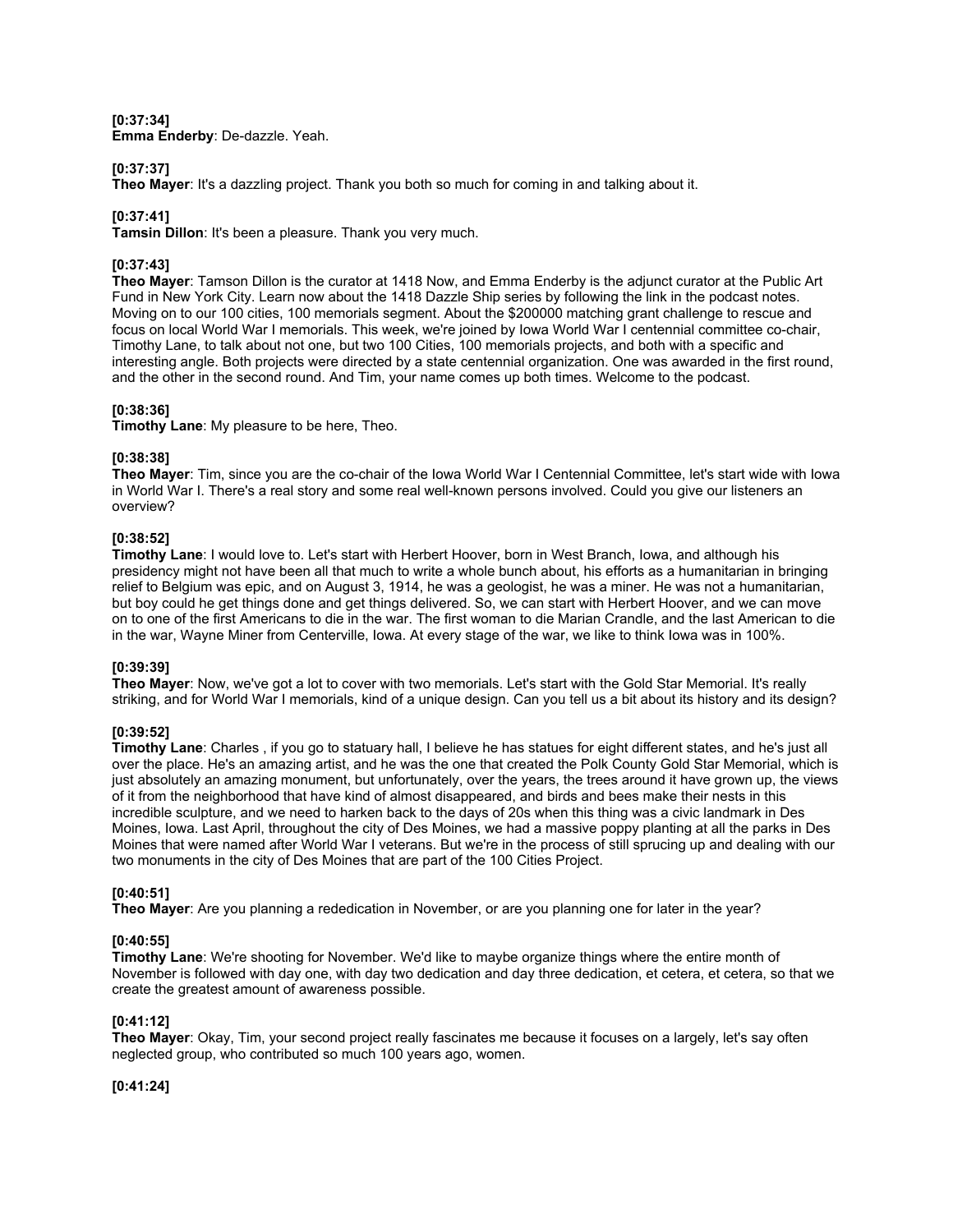### **[0:37:34] Emma Enderby**: De-dazzle. Yeah.

# **[0:37:37]**

**Theo Mayer**: It's a dazzling project. Thank you both so much for coming in and talking about it.

# **[0:37:41]**

**Tamsin Dillon**: It's been a pleasure. Thank you very much.

# **[0:37:43]**

**Theo Mayer**: Tamson Dillon is the curator at 1418 Now, and Emma Enderby is the adjunct curator at the Public Art Fund in New York City. Learn now about the 1418 Dazzle Ship series by following the link in the podcast notes. Moving on to our 100 cities, 100 memorials segment. About the \$200000 matching grant challenge to rescue and focus on local World War I memorials. This week, we're joined by Iowa World War I centennial committee co-chair, Timothy Lane, to talk about not one, but two 100 Cities, 100 memorials projects, and both with a specific and interesting angle. Both projects were directed by a state centennial organization. One was awarded in the first round, and the other in the second round. And Tim, your name comes up both times. Welcome to the podcast.

# **[0:38:36]**

**Timothy Lane**: My pleasure to be here, Theo.

# **[0:38:38]**

**Theo Mayer**: Tim, since you are the co-chair of the Iowa World War I Centennial Committee, let's start wide with Iowa in World War I. There's a real story and some real well-known persons involved. Could you give our listeners an overview?

# **[0:38:52]**

**Timothy Lane**: I would love to. Let's start with Herbert Hoover, born in West Branch, Iowa, and although his presidency might not have been all that much to write a whole bunch about, his efforts as a humanitarian in bringing relief to Belgium was epic, and on August 3, 1914, he was a geologist, he was a miner. He was not a humanitarian, but boy could he get things done and get things delivered. So, we can start with Herbert Hoover, and we can move on to one of the first Americans to die in the war. The first woman to die Marian Crandle, and the last American to die in the war, Wayne Miner from Centerville, Iowa. At every stage of the war, we like to think Iowa was in 100%.

# **[0:39:39]**

**Theo Mayer**: Now, we've got a lot to cover with two memorials. Let's start with the Gold Star Memorial. It's really striking, and for World War I memorials, kind of a unique design. Can you tell us a bit about its history and its design?

# **[0:39:52]**

**Timothy Lane**: Charles , if you go to statuary hall, I believe he has statues for eight different states, and he's just all over the place. He's an amazing artist, and he was the one that created the Polk County Gold Star Memorial, which is just absolutely an amazing monument, but unfortunately, over the years, the trees around it have grown up, the views of it from the neighborhood that have kind of almost disappeared, and birds and bees make their nests in this incredible sculpture, and we need to harken back to the days of 20s when this thing was a civic landmark in Des Moines, Iowa. Last April, throughout the city of Des Moines, we had a massive poppy planting at all the parks in Des Moines that were named after World War I veterans. But we're in the process of still sprucing up and dealing with our two monuments in the city of Des Moines that are part of the 100 Cities Project.

# **[0:40:51]**

**Theo Mayer**: Are you planning a rededication in November, or are you planning one for later in the year?

# **[0:40:55]**

**Timothy Lane**: We're shooting for November. We'd like to maybe organize things where the entire month of November is followed with day one, with day two dedication and day three dedication, et cetera, et cetera, so that we create the greatest amount of awareness possible.

# **[0:41:12]**

**Theo Mayer**: Okay, Tim, your second project really fascinates me because it focuses on a largely, let's say often neglected group, who contributed so much 100 years ago, women.

# **[0:41:24]**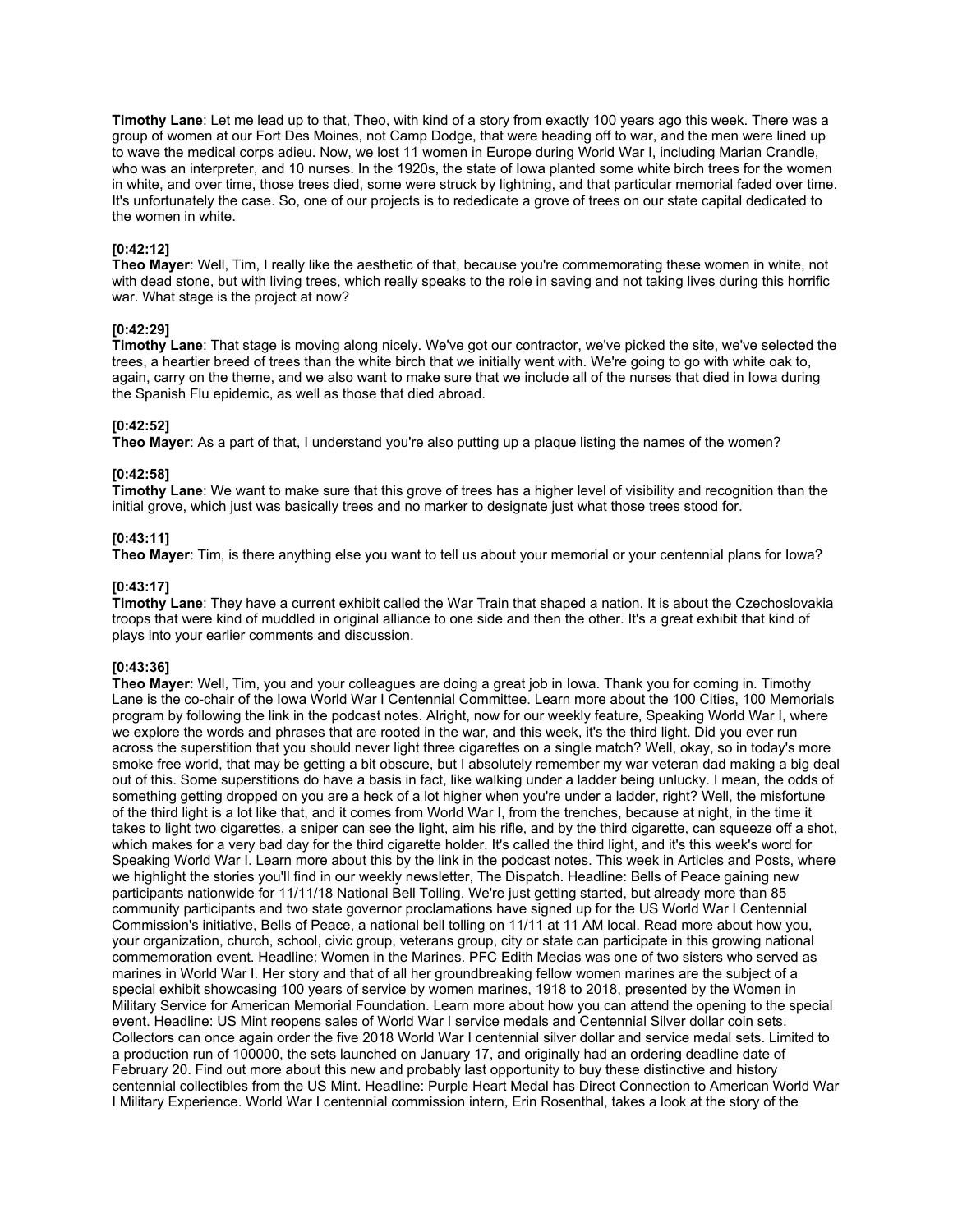**Timothy Lane**: Let me lead up to that, Theo, with kind of a story from exactly 100 years ago this week. There was a group of women at our Fort Des Moines, not Camp Dodge, that were heading off to war, and the men were lined up to wave the medical corps adieu. Now, we lost 11 women in Europe during World War I, including Marian Crandle, who was an interpreter, and 10 nurses. In the 1920s, the state of Iowa planted some white birch trees for the women in white, and over time, those trees died, some were struck by lightning, and that particular memorial faded over time. It's unfortunately the case. So, one of our projects is to rededicate a grove of trees on our state capital dedicated to the women in white.

# **[0:42:12]**

**Theo Mayer**: Well, Tim, I really like the aesthetic of that, because you're commemorating these women in white, not with dead stone, but with living trees, which really speaks to the role in saving and not taking lives during this horrific war. What stage is the project at now?

# **[0:42:29]**

**Timothy Lane**: That stage is moving along nicely. We've got our contractor, we've picked the site, we've selected the trees, a heartier breed of trees than the white birch that we initially went with. We're going to go with white oak to, again, carry on the theme, and we also want to make sure that we include all of the nurses that died in Iowa during the Spanish Flu epidemic, as well as those that died abroad.

# **[0:42:52]**

**Theo Mayer**: As a part of that, I understand you're also putting up a plaque listing the names of the women?

# **[0:42:58]**

**Timothy Lane**: We want to make sure that this grove of trees has a higher level of visibility and recognition than the initial grove, which just was basically trees and no marker to designate just what those trees stood for.

# **[0:43:11]**

**Theo Mayer**: Tim, is there anything else you want to tell us about your memorial or your centennial plans for Iowa?

# **[0:43:17]**

**Timothy Lane**: They have a current exhibit called the War Train that shaped a nation. It is about the Czechoslovakia troops that were kind of muddled in original alliance to one side and then the other. It's a great exhibit that kind of plays into your earlier comments and discussion.

# **[0:43:36]**

**Theo Mayer**: Well, Tim, you and your colleagues are doing a great job in Iowa. Thank you for coming in. Timothy Lane is the co-chair of the Iowa World War I Centennial Committee. Learn more about the 100 Cities, 100 Memorials program by following the link in the podcast notes. Alright, now for our weekly feature, Speaking World War I, where we explore the words and phrases that are rooted in the war, and this week, it's the third light. Did you ever run across the superstition that you should never light three cigarettes on a single match? Well, okay, so in today's more smoke free world, that may be getting a bit obscure, but I absolutely remember my war veteran dad making a big deal out of this. Some superstitions do have a basis in fact, like walking under a ladder being unlucky. I mean, the odds of something getting dropped on you are a heck of a lot higher when you're under a ladder, right? Well, the misfortune of the third light is a lot like that, and it comes from World War I, from the trenches, because at night, in the time it takes to light two cigarettes, a sniper can see the light, aim his rifle, and by the third cigarette, can squeeze off a shot, which makes for a very bad day for the third cigarette holder. It's called the third light, and it's this week's word for Speaking World War I. Learn more about this by the link in the podcast notes. This week in Articles and Posts, where we highlight the stories you'll find in our weekly newsletter, The Dispatch. Headline: Bells of Peace gaining new participants nationwide for 11/11/18 National Bell Tolling. We're just getting started, but already more than 85 community participants and two state governor proclamations have signed up for the US World War I Centennial Commission's initiative, Bells of Peace, a national bell tolling on 11/11 at 11 AM local. Read more about how you, your organization, church, school, civic group, veterans group, city or state can participate in this growing national commemoration event. Headline: Women in the Marines. PFC Edith Mecias was one of two sisters who served as marines in World War I. Her story and that of all her groundbreaking fellow women marines are the subject of a special exhibit showcasing 100 years of service by women marines, 1918 to 2018, presented by the Women in Military Service for American Memorial Foundation. Learn more about how you can attend the opening to the special event. Headline: US Mint reopens sales of World War I service medals and Centennial Silver dollar coin sets. Collectors can once again order the five 2018 World War I centennial silver dollar and service medal sets. Limited to a production run of 100000, the sets launched on January 17, and originally had an ordering deadline date of February 20. Find out more about this new and probably last opportunity to buy these distinctive and history centennial collectibles from the US Mint. Headline: Purple Heart Medal has Direct Connection to American World War I Military Experience. World War I centennial commission intern, Erin Rosenthal, takes a look at the story of the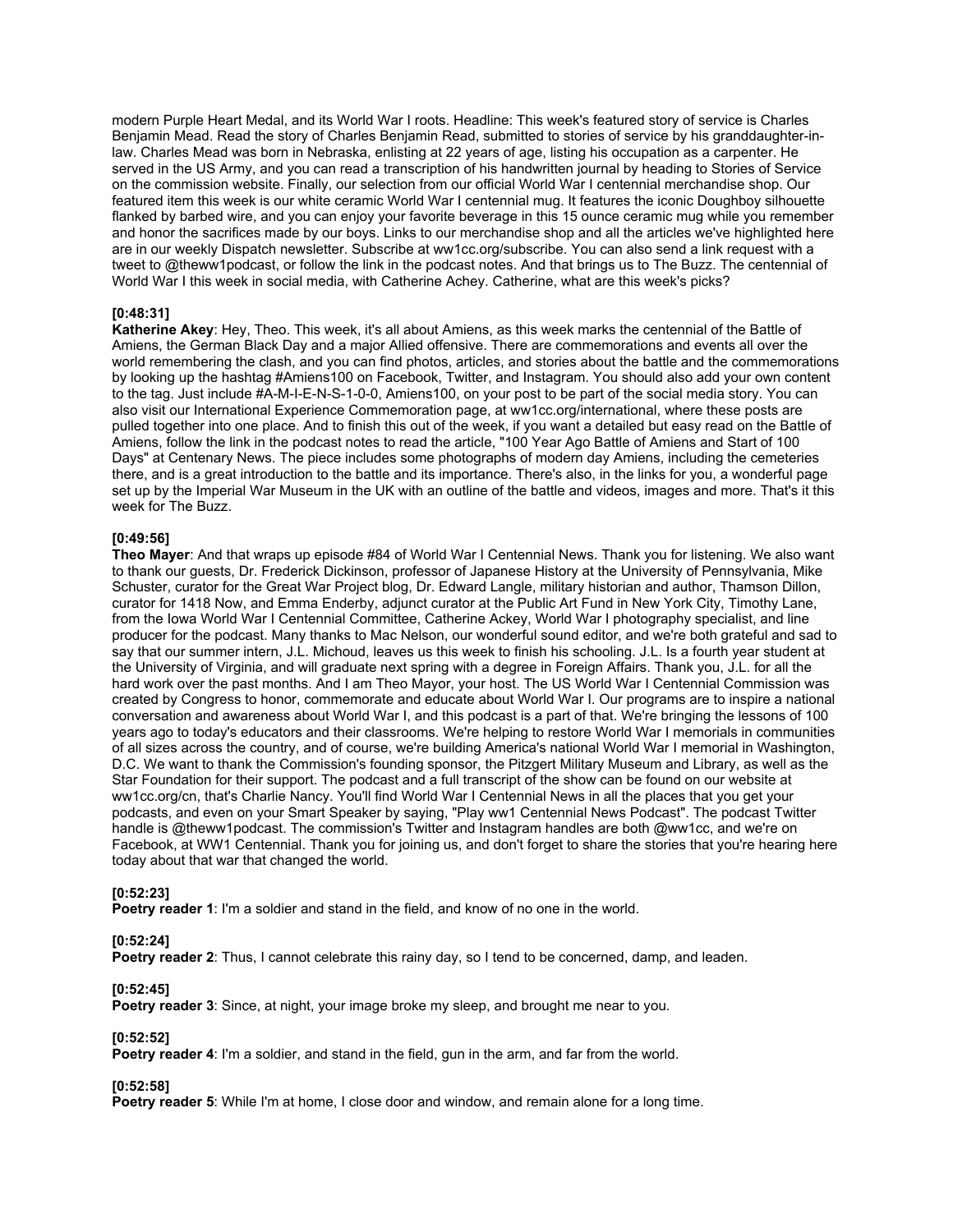modern Purple Heart Medal, and its World War I roots. Headline: This week's featured story of service is Charles Benjamin Mead. Read the story of Charles Benjamin Read, submitted to stories of service by his granddaughter-inlaw. Charles Mead was born in Nebraska, enlisting at 22 years of age, listing his occupation as a carpenter. He served in the US Army, and you can read a transcription of his handwritten journal by heading to Stories of Service on the commission website. Finally, our selection from our official World War I centennial merchandise shop. Our featured item this week is our white ceramic World War I centennial mug. It features the iconic Doughboy silhouette flanked by barbed wire, and you can enjoy your favorite beverage in this 15 ounce ceramic mug while you remember and honor the sacrifices made by our boys. Links to our merchandise shop and all the articles we've highlighted here are in our weekly Dispatch newsletter. Subscribe at ww1cc.org/subscribe. You can also send a link request with a tweet to @theww1podcast, or follow the link in the podcast notes. And that brings us to The Buzz. The centennial of World War I this week in social media, with Catherine Achey. Catherine, what are this week's picks?

# **[0:48:31]**

**Katherine Akey**: Hey, Theo. This week, it's all about Amiens, as this week marks the centennial of the Battle of Amiens, the German Black Day and a major Allied offensive. There are commemorations and events all over the world remembering the clash, and you can find photos, articles, and stories about the battle and the commemorations by looking up the hashtag #Amiens100 on Facebook, Twitter, and Instagram. You should also add your own content to the tag. Just include #A-M-I-E-N-S-1-0-0, Amiens100, on your post to be part of the social media story. You can also visit our International Experience Commemoration page, at ww1cc.org/international, where these posts are pulled together into one place. And to finish this out of the week, if you want a detailed but easy read on the Battle of Amiens, follow the link in the podcast notes to read the article, "100 Year Ago Battle of Amiens and Start of 100 Days" at Centenary News. The piece includes some photographs of modern day Amiens, including the cemeteries there, and is a great introduction to the battle and its importance. There's also, in the links for you, a wonderful page set up by the Imperial War Museum in the UK with an outline of the battle and videos, images and more. That's it this week for The Buzz.

### **[0:49:56]**

**Theo Mayer**: And that wraps up episode #84 of World War I Centennial News. Thank you for listening. We also want to thank our guests, Dr. Frederick Dickinson, professor of Japanese History at the University of Pennsylvania, Mike Schuster, curator for the Great War Project blog, Dr. Edward Langle, military historian and author, Thamson Dillon, curator for 1418 Now, and Emma Enderby, adjunct curator at the Public Art Fund in New York City, Timothy Lane, from the Iowa World War I Centennial Committee, Catherine Ackey, World War I photography specialist, and line producer for the podcast. Many thanks to Mac Nelson, our wonderful sound editor, and we're both grateful and sad to say that our summer intern, J.L. Michoud, leaves us this week to finish his schooling. J.L. Is a fourth year student at the University of Virginia, and will graduate next spring with a degree in Foreign Affairs. Thank you, J.L. for all the hard work over the past months. And I am Theo Mayor, your host. The US World War I Centennial Commission was created by Congress to honor, commemorate and educate about World War I. Our programs are to inspire a national conversation and awareness about World War I, and this podcast is a part of that. We're bringing the lessons of 100 years ago to today's educators and their classrooms. We're helping to restore World War I memorials in communities of all sizes across the country, and of course, we're building America's national World War I memorial in Washington, D.C. We want to thank the Commission's founding sponsor, the Pitzgert Military Museum and Library, as well as the Star Foundation for their support. The podcast and a full transcript of the show can be found on our website at ww1cc.org/cn, that's Charlie Nancy. You'll find World War I Centennial News in all the places that you get your podcasts, and even on your Smart Speaker by saying, "Play ww1 Centennial News Podcast". The podcast Twitter handle is @theww1podcast. The commission's Twitter and Instagram handles are both @ww1cc, and we're on Facebook, at WW1 Centennial. Thank you for joining us, and don't forget to share the stories that you're hearing here today about that war that changed the world.

#### **[0:52:23]**

**Poetry reader 1**: I'm a soldier and stand in the field, and know of no one in the world.

# **[0:52:24]**

**Poetry reader 2**: Thus, I cannot celebrate this rainy day, so I tend to be concerned, damp, and leaden.

#### **[0:52:45]**

**Poetry reader 3**: Since, at night, your image broke my sleep, and brought me near to you.

#### **[0:52:52]**

**Poetry reader 4:** I'm a soldier, and stand in the field, gun in the arm, and far from the world.

# **[0:52:58]**

**Poetry reader 5:** While I'm at home, I close door and window, and remain alone for a long time.